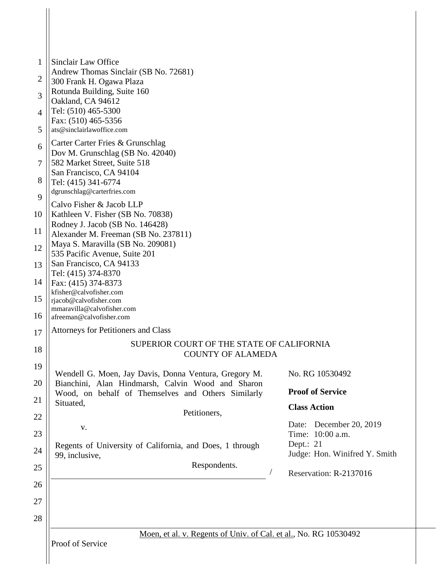| 1              | Sinclair Law Office                                                                                                                                                                                                                                         |  |  |  |  |
|----------------|-------------------------------------------------------------------------------------------------------------------------------------------------------------------------------------------------------------------------------------------------------------|--|--|--|--|
|                | Andrew Thomas Sinclair (SB No. 72681)                                                                                                                                                                                                                       |  |  |  |  |
| $\overline{2}$ | 300 Frank H. Ogawa Plaza                                                                                                                                                                                                                                    |  |  |  |  |
| 3              | Rotunda Building, Suite 160<br>Oakland, CA 94612<br>Tel: (510) 465-5300<br>Fax: (510) 465-5356                                                                                                                                                              |  |  |  |  |
| $\overline{4}$ |                                                                                                                                                                                                                                                             |  |  |  |  |
| 5              | ats@sinclairlawoffice.com                                                                                                                                                                                                                                   |  |  |  |  |
| 6              | Carter Carter Fries & Grunschlag<br>Dov M. Grunschlag (SB No. 42040)                                                                                                                                                                                        |  |  |  |  |
| $\overline{7}$ | 582 Market Street, Suite 518<br>San Francisco, CA 94104<br>Tel: (415) 341-6774<br>dgrunschlag@carterfries.com                                                                                                                                               |  |  |  |  |
| 8              |                                                                                                                                                                                                                                                             |  |  |  |  |
| 9              | Calvo Fisher & Jacob LLP                                                                                                                                                                                                                                    |  |  |  |  |
| 10             | Kathleen V. Fisher (SB No. 70838)<br>Rodney J. Jacob (SB No. 146428)<br>Alexander M. Freeman (SB No. 237811)<br>Maya S. Maravilla (SB No. 209081)<br>535 Pacific Avenue, Suite 201<br>San Francisco, CA 94133<br>Tel: (415) 374-8370<br>Fax: (415) 374-8373 |  |  |  |  |
| 11             |                                                                                                                                                                                                                                                             |  |  |  |  |
| 12             |                                                                                                                                                                                                                                                             |  |  |  |  |
| 13             |                                                                                                                                                                                                                                                             |  |  |  |  |
| 14             |                                                                                                                                                                                                                                                             |  |  |  |  |
| 15             | kfisher@calvofisher.com<br>rjacob@calvofisher.com                                                                                                                                                                                                           |  |  |  |  |
| 16             | mmaravilla@calvofisher.com<br>afreeman@calvofisher.com                                                                                                                                                                                                      |  |  |  |  |
| 17             | Attorneys for Petitioners and Class                                                                                                                                                                                                                         |  |  |  |  |
| 18             | SUPERIOR COURT OF THE STATE OF CALIFORNIA<br><b>COUNTY OF ALAMEDA</b>                                                                                                                                                                                       |  |  |  |  |
| 19             | Wendell G. Moen, Jay Davis, Donna Ventura, Gregory M.<br>No. RG 10530492                                                                                                                                                                                    |  |  |  |  |
| 20             | Bianchini, Alan Hindmarsh, Calvin Wood and Sharon                                                                                                                                                                                                           |  |  |  |  |
| 21             | <b>Proof of Service</b><br>Wood, on behalf of Themselves and Others Similarly<br>Situated,                                                                                                                                                                  |  |  |  |  |
| 22             | <b>Class Action</b><br>Petitioners,                                                                                                                                                                                                                         |  |  |  |  |
| 23             | December 20, 2019<br>Date:<br>${\bf V}$ .<br>Time: 10:00 a.m.                                                                                                                                                                                               |  |  |  |  |
| 24             | Dept.: 21<br>Regents of University of California, and Does, 1 through<br>Judge: Hon. Winifred Y. Smith<br>99, inclusive,                                                                                                                                    |  |  |  |  |
| 25             | Respondents.<br>Reservation: R-2137016                                                                                                                                                                                                                      |  |  |  |  |
| 26             |                                                                                                                                                                                                                                                             |  |  |  |  |
| 27             |                                                                                                                                                                                                                                                             |  |  |  |  |
| 28             |                                                                                                                                                                                                                                                             |  |  |  |  |
|                |                                                                                                                                                                                                                                                             |  |  |  |  |
|                | Moen, et al. v. Regents of Univ. of Cal. et al., No. RG 10530492                                                                                                                                                                                            |  |  |  |  |

Proof of Service